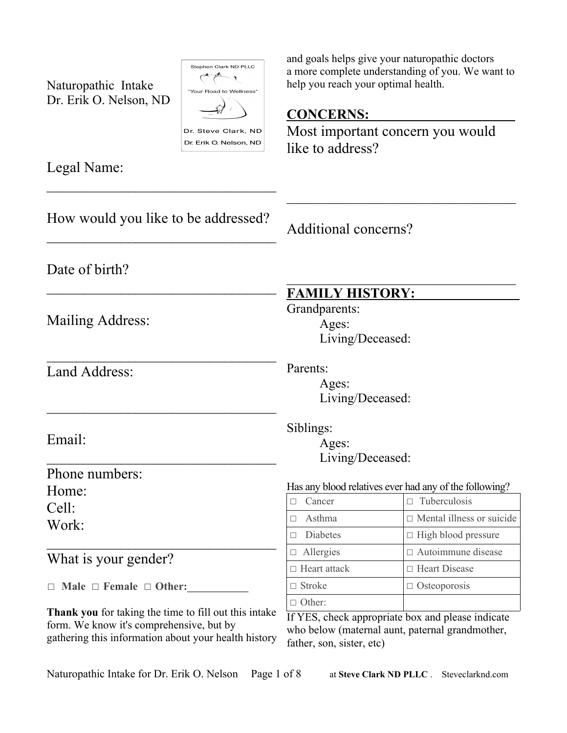Naturopathic Intake Dr. Erik O. Nelson, ND

 $\overline{\phantom{a}}$  , which is a set of the set of the set of the set of the set of the set of the set of the set of the set of the set of the set of the set of the set of the set of the set of the set of the set of the set of th



Legal Name:

and goals helps give your naturopathic doctors a more complete understanding of you. We want to help you reach your optimal health.

## **CONCERNS:**

Most important concern you would like to address?

How would you like to be addressed?  $\overline{\phantom{a}}$  , which is a set of the set of the set of the set of the set of the set of the set of the set of the set of the set of the set of the set of the set of the set of the set of the set of the set of the set of th Date of birth?  $\overline{\phantom{a}}$  , which is a set of the set of the set of the set of the set of the set of the set of the set of the set of the set of the set of the set of the set of the set of the set of the set of the set of the set of th Mailing Address:  $\overline{\phantom{a}}$  , which is a set of the set of the set of the set of the set of the set of the set of the set of the set of the set of the set of the set of the set of the set of the set of the set of the set of the set of th Land Address:  $\overline{\phantom{a}}$  , which is a set of the set of the set of the set of the set of the set of the set of the set of the set of the set of the set of the set of the set of the set of the set of the set of the set of the set of th Email:  $\overline{\phantom{a}}$  , which is a set of the set of the set of the set of the set of the set of the set of the set of the set of the set of the set of the set of the set of the set of the set of the set of the set of the set of th Phone numbers: Home: Cell: Work:  $\overline{\phantom{a}}$  , which is a set of the set of the set of the set of the set of the set of the set of the set of the set of the set of the set of the set of the set of the set of the set of the set of the set of the set of th What is your gender? ☐ **Male** ☐ **Female** ☐ **Other:\_\_\_\_\_\_\_\_\_\_\_ Thank you** for taking the time to fill out this intake form. We know it's comprehensive, but by gathering this information about your health history  $\overline{\phantom{a}}$ Additional concerns?  $\mathcal{L}=\mathcal{L}=\mathcal{L}=\mathcal{L}=\mathcal{L}=\mathcal{L}=\mathcal{L}=\mathcal{L}=\mathcal{L}=\mathcal{L}=\mathcal{L}=\mathcal{L}=\mathcal{L}=\mathcal{L}=\mathcal{L}=\mathcal{L}=\mathcal{L}=\mathcal{L}=\mathcal{L}=\mathcal{L}=\mathcal{L}=\mathcal{L}=\mathcal{L}=\mathcal{L}=\mathcal{L}=\mathcal{L}=\mathcal{L}=\mathcal{L}=\mathcal{L}=\mathcal{L}=\mathcal{L}=\mathcal{L}=\mathcal{L}=\mathcal{L}=\mathcal{L}=\mathcal{L}=\mathcal{$  **FAMILY HISTORY:** Grandparents: Ages: Living/Deceased: Parents: Ages: Living/Deceased: Siblings: Ages: Living/Deceased: Has any blood relatives ever had any of the following?  $\Box$  Cancer  $\Box$  Tuberculosis  $\Box$  Asthma  $\Box$  Mental illness or suicide □ Diabetes  $□$  High blood pressure ☐ Allergies ☐ Autoimmune disease ☐ Heart attack ☐ Heart Disease  $\Box$  Stroke  $\Box$  Osteoporosis □ Other: If YES, check appropriate box and please indicate who below (maternal aunt, paternal grandmother, father, son, sister, etc)

Naturopathic Intake for Dr. Erik O. Nelson Page 1 of 8 at **Steve Clark ND PLLC**. Steveclarknd.com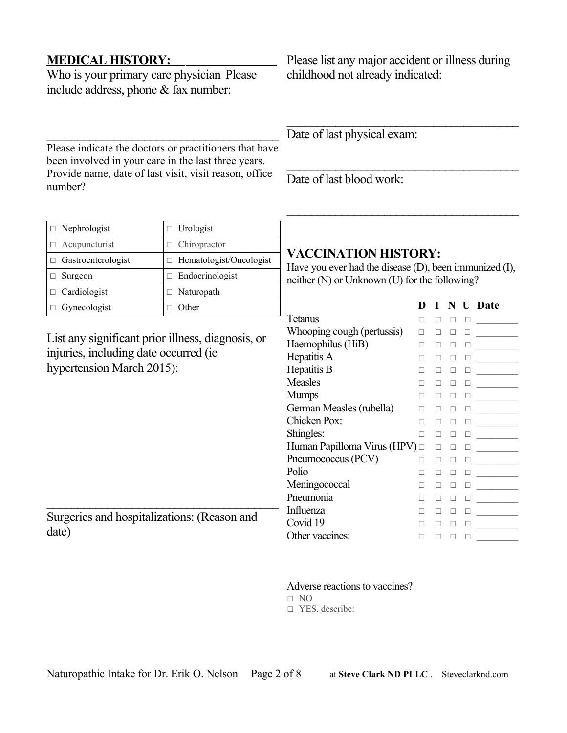### **MEDICAL HISTORY:**

Who is your primary care physician Please include address, phone & fax number:

Please indicate the doctors or practitioners that have been involved in your care in the last three years. Provide name, date of last visit, visit reason, office number?

Please list any major accident or illness during childhood not already indicated:

 $\overline{\phantom{a}}$  , where  $\overline{\phantom{a}}$  , where  $\overline{\phantom{a}}$  ,  $\overline{\phantom{a}}$  ,  $\overline{\phantom{a}}$  ,  $\overline{\phantom{a}}$  ,  $\overline{\phantom{a}}$  ,  $\overline{\phantom{a}}$  ,  $\overline{\phantom{a}}$  ,  $\overline{\phantom{a}}$  ,  $\overline{\phantom{a}}$  ,  $\overline{\phantom{a}}$  ,  $\overline{\phantom{a}}$  ,  $\overline{\phantom{a}}$  ,  $\overline{\phantom{a}}$  ,

Date of last physical exam:

Date of last blood work:

| $\Box$ Nephrologist       | $\Box$ Urologist               |
|---------------------------|--------------------------------|
| $\Box$ Acupuncturist      | $\Box$ Chiropractor            |
| $\Box$ Gastroenterologist | $\Box$ Hematologist/Oncologist |
| Surgeon                   | $\Box$ Endocrinologist         |
| $\Box$ Cardiologist       | $\Box$ Naturopath              |
| Gynecologist              | Other                          |

List any significant prior illness, diagnosis, or injuries, including date occurred (ie hypertension March 2015):

 $\overline{\phantom{a}}$  , where  $\overline{\phantom{a}}$  , where  $\overline{\phantom{a}}$  ,  $\overline{\phantom{a}}$  ,  $\overline{\phantom{a}}$  ,  $\overline{\phantom{a}}$  ,  $\overline{\phantom{a}}$  ,  $\overline{\phantom{a}}$  ,  $\overline{\phantom{a}}$  ,  $\overline{\phantom{a}}$  ,  $\overline{\phantom{a}}$  ,  $\overline{\phantom{a}}$  ,  $\overline{\phantom{a}}$  ,  $\overline{\phantom{a}}$  ,  $\overline{\phantom{a}}$  , Surgeries and hospitalizations: (Reason and date)

## **VACCINATION HISTORY:**

Have you ever had the disease (D), been immunized (I), neither (N) or Unknown (U) for the following?

 $\overline{\phantom{a}}$  , where  $\overline{\phantom{a}}$  , where  $\overline{\phantom{a}}$  ,  $\overline{\phantom{a}}$  ,  $\overline{\phantom{a}}$  ,  $\overline{\phantom{a}}$  ,  $\overline{\phantom{a}}$  ,  $\overline{\phantom{a}}$  ,  $\overline{\phantom{a}}$  ,  $\overline{\phantom{a}}$  ,  $\overline{\phantom{a}}$  ,  $\overline{\phantom{a}}$  ,  $\overline{\phantom{a}}$  ,  $\overline{\phantom{a}}$  ,  $\overline{\phantom{a}}$  ,

|                                    | D |   |   |   | N U Date |
|------------------------------------|---|---|---|---|----------|
| Tetanus                            |   |   |   |   |          |
| Whooping cough (pertussis)         | п |   |   | п |          |
| Haemophilus (HiB)                  |   |   |   | П |          |
| Hepatitis A                        |   |   |   |   |          |
| Hepatitis B                        |   |   | п |   |          |
| <b>Measles</b>                     |   |   | П |   |          |
| <b>Mumps</b>                       |   |   | П |   |          |
| German Measles (rubella)           |   |   | п |   |          |
| Chicken Pox:                       | П | п | П | П |          |
| Shingles:                          | п | п | П | П |          |
| Human Papilloma Virus (HPV) $\Box$ |   | п | П | П |          |
| Pneumococcus (PCV)                 | п |   | п |   |          |
| Polio                              |   |   |   |   |          |
| Meningococcal                      |   |   | п |   |          |
| Pneumonia                          |   |   |   |   |          |
| Influenza                          |   |   |   |   |          |
| Covid 19                           |   |   |   |   |          |
| Other vaccines:                    |   |   |   |   |          |

Adverse reactions to vaccines?

- $\Box$  NO
- □ YES, describe: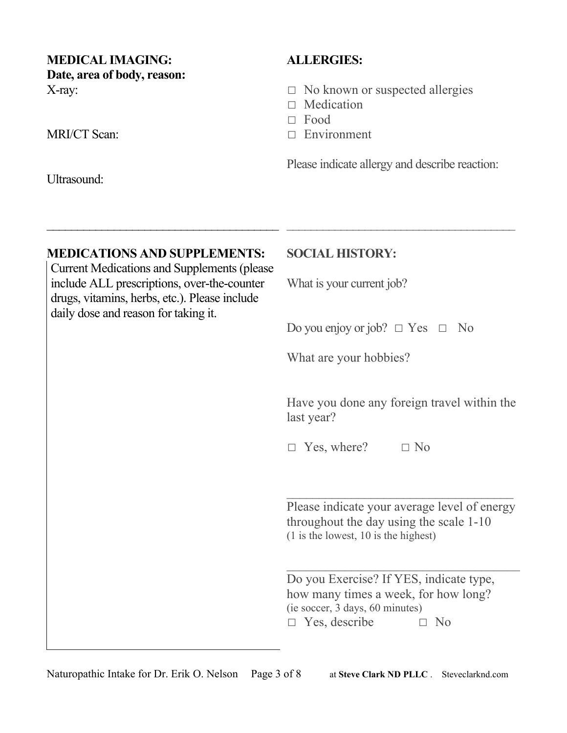## **MEDICAL IMAGING: Date, area of body, reason:** X-ray:

MRI/CT Scan:

Ultrasound:

# **ALLERGIES:**

- $\Box$  No known or suspected allergies
- □ Medication
- ☐ Food
- □ Environment

Please indicate allergy and describe reaction:

 $\mathcal{L}_\text{max}$  , and the set of the set of the set of the set of the set of the set of the set of the set of the set of the set of the set of the set of the set of the set of the set of the set of the set of the set of the

## **MEDICATIONS AND SUPPLEMENTS:**

 $\overline{\phantom{a}}$  , where  $\overline{\phantom{a}}$  , where  $\overline{\phantom{a}}$  ,  $\overline{\phantom{a}}$  ,  $\overline{\phantom{a}}$  ,  $\overline{\phantom{a}}$  ,  $\overline{\phantom{a}}$  ,  $\overline{\phantom{a}}$  ,  $\overline{\phantom{a}}$  ,  $\overline{\phantom{a}}$  ,  $\overline{\phantom{a}}$  ,  $\overline{\phantom{a}}$  ,  $\overline{\phantom{a}}$  ,  $\overline{\phantom{a}}$  ,  $\overline{\phantom{a}}$  ,

Current Medications and Supplements (please include ALL prescriptions, over-the-counter drugs, vitamins, herbs, etc.). Please include daily dose and reason for taking it.

## **SOCIAL HISTORY:**

What is your current job?

Do you enjoy or job?  $\Box$  Yes  $\Box$  No

What are your hobbies?

Have you done any foreign travel within the last year?

 $\Box$  Yes, where?  $\Box$  No

Please indicate your average level of energy throughout the day using the scale 1-10 (1 is the lowest, 10 is the highest)

 $\mathcal{L}_\text{max}$  , and the set of the set of the set of the set of the set of the set of the set of the set of the set of the set of the set of the set of the set of the set of the set of the set of the set of the set of the

Do you Exercise? If YES, indicate type, how many times a week, for how long? (ie soccer, 3 days, 60 minutes) ☐ Yes, describe ☐ No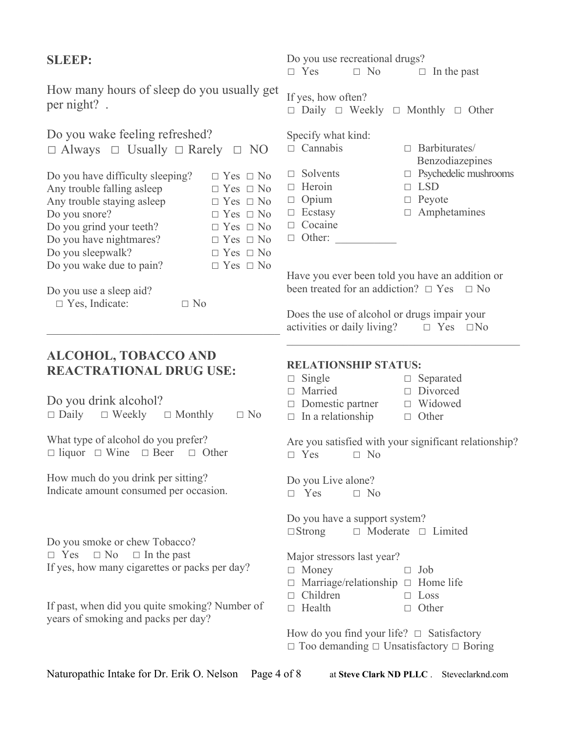| <b>SLEEP:</b>                                                                                                                                                                                                                                    |                                                                                                                                                                                              | Do you use recreational drugs?<br>$\Box$ Yes<br>$\Box$ No<br>$\Box$ In the past                                                                                                                                                                                                                         |                                                                                                 |  |  |  |  |
|--------------------------------------------------------------------------------------------------------------------------------------------------------------------------------------------------------------------------------------------------|----------------------------------------------------------------------------------------------------------------------------------------------------------------------------------------------|---------------------------------------------------------------------------------------------------------------------------------------------------------------------------------------------------------------------------------------------------------------------------------------------------------|-------------------------------------------------------------------------------------------------|--|--|--|--|
| How many hours of sleep do you usually get<br>per night?.                                                                                                                                                                                        |                                                                                                                                                                                              | If yes, how often?<br>$\Box$ Daily $\Box$ Weekly $\Box$ Monthly $\Box$ Other                                                                                                                                                                                                                            |                                                                                                 |  |  |  |  |
| Do you wake feeling refreshed?<br>$\Box$ Always $\Box$ Usually $\Box$ Rarely $\Box$ NO                                                                                                                                                           |                                                                                                                                                                                              | Specify what kind:<br>$\Box$ Cannabis<br>$\Box$ Barbiturates/<br>Benzodiazepines                                                                                                                                                                                                                        |                                                                                                 |  |  |  |  |
| Do you have difficulty sleeping?<br>Any trouble falling asleep<br>Any trouble staying asleep<br>Do you snore?<br>Do you grind your teeth?<br>Do you have nightmares?<br>Do you sleepwalk?<br>Do you wake due to pain?<br>Do you use a sleep aid? | $\Box$ Yes $\Box$ No<br>$\Box$ Yes $\Box$ No<br>$\Box$ Yes $\Box$ No<br>$\Box$ Yes $\Box$ No<br>$\Box$ Yes $\Box$ No<br>$\Box$ Yes $\Box$ No<br>$\Box$ Yes $\Box$ No<br>$\Box$ Yes $\Box$ No | $\Box$ Solvents<br>$\Box$ Heroin<br>$\Box$ Opium<br>$\Box$ Ecstasy<br>$\Box$ Cocaine<br>$\Box$ Other:<br>Have you ever been told you have an addition or<br>been treated for an addiction? $\Box$ Yes $\Box$ No                                                                                         | $\Box$ Psychedelic mushrooms<br><b>LSD</b><br>$\Box$<br>Peyote<br>$\Box$<br>$\Box$ Amphetamines |  |  |  |  |
| $\Box$ Yes, Indicate:<br>$\Box$ No                                                                                                                                                                                                               |                                                                                                                                                                                              | Does the use of alcohol or drugs impair your<br>activities or daily living? $\Box$ Yes $\Box$ No                                                                                                                                                                                                        |                                                                                                 |  |  |  |  |
| <b>ALCOHOL, TOBACCO AND</b><br><b>REACTRATIONAL DRUG USE:</b><br>Do you drink alcohol?<br>$\Box$ Daily $\Box$ Weekly $\Box$ Monthly                                                                                                              | $\Box$ No                                                                                                                                                                                    | <b>RELATIONSHIP STATUS:</b><br>$\Box$ Single<br>Married<br>$\Box$<br>Domestic partner<br>$\Box$ In a relationship                                                                                                                                                                                       | $\Box$ Separated<br>Divorced<br>$\Box$<br>$\Box$ Widowed<br>$\Box$ Other                        |  |  |  |  |
| What type of alcohol do you prefer?<br>$\Box$ liquor $\Box$ Wine $\Box$ Beer $\Box$ Other                                                                                                                                                        |                                                                                                                                                                                              | Are you satisfied with your significant relationship?<br>$\Box$ Yes<br>$\Box$ No                                                                                                                                                                                                                        |                                                                                                 |  |  |  |  |
| How much do you drink per sitting?<br>Indicate amount consumed per occasion.                                                                                                                                                                     |                                                                                                                                                                                              | Do you Live alone?<br>$\Box$ Yes<br>$\Box$ No                                                                                                                                                                                                                                                           |                                                                                                 |  |  |  |  |
| Do you smoke or chew Tobacco?<br>$\Box$ No<br>$\Box$ In the past<br>$\Box$ Yes<br>If yes, how many cigarettes or packs per day?<br>If past, when did you quite smoking? Number of<br>years of smoking and packs per day?                         |                                                                                                                                                                                              | Do you have a support system?<br>$\Box$ Moderate $\Box$ Limited<br>$\Box$ Strong<br>Major stressors last year?<br>$\Box$ Money<br>Job<br>п<br>Marriage/relationship $\Box$ Home life<br>$\Box$ Children<br>$\Box$ Loss<br>$\Box$ Health<br>Other<br>□<br>How do you find your life? $\Box$ Satisfactory |                                                                                                 |  |  |  |  |
|                                                                                                                                                                                                                                                  |                                                                                                                                                                                              | $\Box$ Too demanding $\Box$ Unsatisfactory $\Box$ Boring                                                                                                                                                                                                                                                |                                                                                                 |  |  |  |  |

Naturopathic Intake for Dr. Erik O. Nelson Page 4 of 8 at Steve Clark ND PLLC . Steveclarknd.com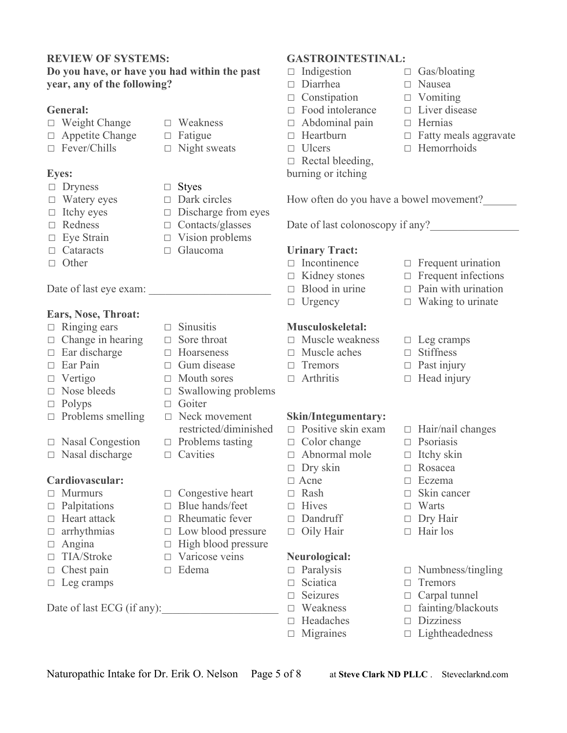#### **REVIEW OF SYSTEMS: Do you have, or have you had within the past year, any of the following?**

#### **General:**

- ☐ Weight Change ☐ Weakness
- ☐ Appetite Change ☐ Fatigue
- $\Box$  Fever/Chills  $\Box$  Night sweats

### **Eyes:**

- ☐ Dryness ☐ Styes
- ☐ Watery eyes ☐ Dark circles
- 
- 
- 
- 
- ☐ Other

Date of last eye exam:

#### **Ears, Nose, Throat:**

- ☐ Ringing ears ☐ Sinusitis
- ☐ Change in hearing ☐ Sore throat
- 
- 
- 
- 
- 
- □ Polyps □ Goiter<br>□ Problems smelling □ Neck movement  $□$  Problems smelling
- ☐ Nasal Congestion ☐ Problems tasting
- ☐ Nasal discharge ☐ Cavities

### **Cardiovascular:**

- ☐ Murmurs ☐ Congestive heart
- ☐ Palpitations ☐ Blue hands/feet
- ☐ Heart attack ☐ Rheumatic fever
- ☐ arrhythmias ☐ Low blood pressure
- 
- 
- ☐ Chest pain ☐ Edema
- $\Box$  Leg cramps

Date of last  $ECG$  (if any):

- 
- 
- 
- 
- 
- 
- □ Itchy eyes □ Discharge from eyes<br>□ Redness □ Contacts/glasses  $\Box$  Contacts/glasses
- ☐ Eye Strain ☐ Vision problems
- ☐ Cataracts ☐ Glaucoma
	-
	-
- ☐ Ear discharge ☐ Hoarseness
- ☐ Ear Pain ☐ Gum disease
- ☐ Vertigo ☐ Mouth sores
- ☐ Nose bleeds ☐ Swallowing problems
	-
	- restricted/diminished
	-
	- -
		-
	-
	-
	-
- □ Angina □ High blood pressure<br>□ TIA/Stroke □ Varicose veins  $\Box$  Varicose veins
	-
	-
- ☐ Paralysis ☐ Numbness/tingling ☐ Sciatica ☐ Tremors

Naturopathic Intake for Dr. Erik O. Nelson Page 5 of 8 at **Steve Clark ND PLLC**. Steveclarknd.com

- $\Box$  Seizures  $\Box$  Carpal tunnel<br> $\Box$  Weakness  $\Box$  fainting/black
- 

**Neurological:** 

- ☐ Headaches ☐ Dizziness
- ☐ Migraines ☐ Lightheadedness
- **GASTROINTESTINAL:**
- 
- ☐ Diarrhea ☐ Nausea
- ☐ Constipation ☐ Vomiting
- 
- ☐ Abdominal pain ☐ Hernias
- 
- 
- $\Box$  Rectal bleeding,
- burning or itching
- ☐ Indigestion ☐ Gas/bloating
	-
	-
- ☐ Food intolerance ☐ Liver disease
	-
- ☐ Heartburn ☐ Fatty meals aggravate
- ☐ Ulcers ☐ Hemorrhoids

□ fainting/blackouts

How often do you have a bowel movement?\_\_\_\_\_\_

Date of last colonoscopy if any?

#### **Urinary Tract:**

- ☐ Incontinence ☐ Frequent urination
- ☐ Kidney stones ☐ Frequent infections
- ☐ Blood in urine ☐ Pain with urination
- ☐ Urgency ☐ Waking to urinate

#### **Musculoskeletal:**

- ☐ Muscle weakness ☐ Leg cramps
- ☐ Muscle aches ☐ Stiffness
- ☐ Tremors ☐ Past injury
- ☐ Arthritis ☐ Head injury

#### **Skin/Integumentary:**

☐ Positive skin exam ☐ Hair/nail changes

☐ Dry skin ☐ Rosacea ☐ Acne ☐ Eczema ☐ Rash ☐ Skin cancer  $\Box$  Hives  $\Box$  Warts ☐ Dandruff ☐ Dry Hair ☐ Oily Hair ☐ Hair los

- ☐ Color change ☐ Psoriasis
- ☐ Abnormal mole ☐ Itchy skin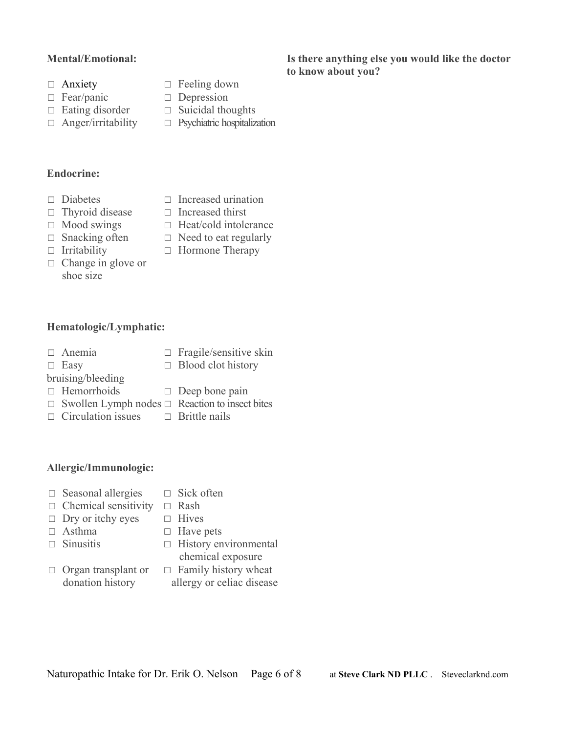### **Mental/Emotional:**

- 
- 
- 
- 
- □ Anxiety □ Feeling down<br>□ Fear/panic □ Depression
- □ Fear/panic □ Depression<br>□ Eating disorder □ Suicidal the
	- □ Suicidal thoughts
- ☐ Anger/irritability ☐ Psychiatric hospitalization
- **Endocrine:**
- ☐ Diabetes ☐ Increased urination
- 
- 
- $\Box$  Snacking often  $\Box$  Need to eat regularly
- 
- □ Change in glove or shoe size
- 
- □ Thyroid disease □ Increased thirst<br>□ Mood swings □ Heat/cold intole □ Heat/cold intolerance
	-
- ☐ Irritability ☐ Hormone Therapy
- **Hematologic/Lymphatic:**
- 
- ☐ Easy
- ☐ Anemia ☐ Fragile/sensitive skin
- bruising/bleeding
- $\Box$  Blood clot history
- 
- ☐ Hemorrhoids ☐ Deep bone pain
- ☐ Swollen Lymph nodes ☐ Reaction to insect bites
- ☐ Circulation issues ☐ Brittle nails

### **Allergic/Immunologic:**

- ☐ Seasonal allergies ☐ Sick often
- ☐ Chemical sensitivity ☐ Rash
- ☐ Dry or itchy eyes ☐ Hives

□ Organ transplant or donation history

- ☐ Asthma ☐ Have pets
	-
- ☐ Sinusitis ☐ History environmental chemical exposure
	- $\Box$  Family history wheat allergy or celiac disease
	-
- Naturopathic Intake for Dr. Erik O. Nelson Page 6 of 8 at **Steve Clark ND PLLC**. Steveclarknd.com

#### **Is there anything else you would like the doctor to know about you?**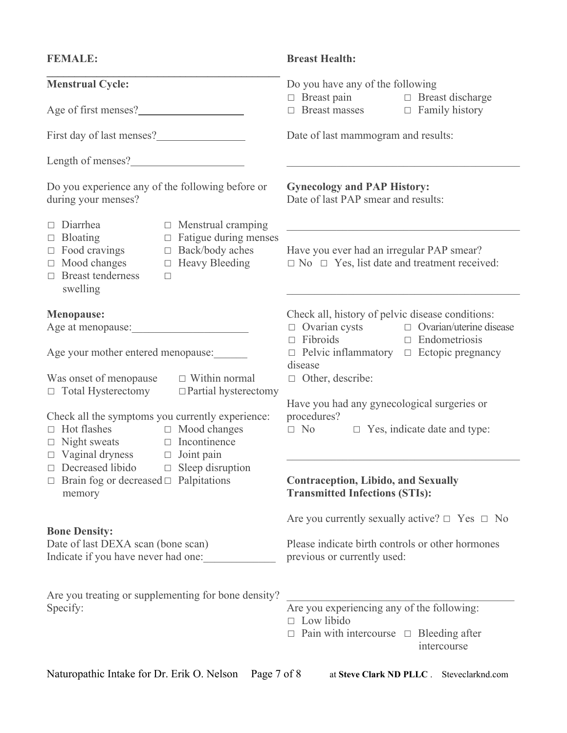| <b>FEMALE:</b>                                                                                                                                                                                                                                              | <b>Breast Health:</b>                                                                                                                                                                                                |  |  |  |  |
|-------------------------------------------------------------------------------------------------------------------------------------------------------------------------------------------------------------------------------------------------------------|----------------------------------------------------------------------------------------------------------------------------------------------------------------------------------------------------------------------|--|--|--|--|
| <b>Menstrual Cycle:</b><br>Age of first menses?                                                                                                                                                                                                             | Do you have any of the following<br>$\Box$ Breast pain $\Box$ Breast discharge<br>$\Box$ Breast masses $\Box$ Family history                                                                                         |  |  |  |  |
|                                                                                                                                                                                                                                                             | Date of last mammogram and results:                                                                                                                                                                                  |  |  |  |  |
|                                                                                                                                                                                                                                                             |                                                                                                                                                                                                                      |  |  |  |  |
|                                                                                                                                                                                                                                                             |                                                                                                                                                                                                                      |  |  |  |  |
| Do you experience any of the following before or<br>during your menses?                                                                                                                                                                                     | <b>Gynecology and PAP History:</b><br>Date of last PAP smear and results:                                                                                                                                            |  |  |  |  |
| $\Box$ Diarrhea<br>$\Box$ Menstrual cramping<br>$\Box$ Bloating<br>$\Box$ Fatigue during menses<br>$\Box$ Food cravings<br>$\Box$ Back/body aches<br>$\Box$ Mood changes $\Box$ Heavy Bleeding<br>$\Box$ Breast tenderness<br>$\Box$<br>swelling            | Have you ever had an irregular PAP smear?<br>$\Box$ No $\Box$ Yes, list date and treatment received:                                                                                                                 |  |  |  |  |
| <b>Menopause:</b><br>Age at menopause:<br><u>Letter and the set of the set of the set of the set of the set of the set of the set of the set of the set of the set of the set of the set of the set of the set of the set of the set of the set of the </u> | Check all, history of pelvic disease conditions:<br>$\Box$ Ovarian cysts $\Box$ Ovarian/uterine disease<br>$\Box$ Fibroids<br>$\Box$ Endometriosis<br>$\Box$ Pelvic inflammatory $\Box$ Ectopic pregnancy<br>disease |  |  |  |  |
| Age your mother entered menopause:                                                                                                                                                                                                                          |                                                                                                                                                                                                                      |  |  |  |  |
| Was onset of menopause $\Box$ Within normal<br>$\Box$ Total Hysterectomy $\Box$ Partial hysterectomy                                                                                                                                                        | $\Box$ Other, describe:                                                                                                                                                                                              |  |  |  |  |
| Check all the symptoms you currently experience:<br>$\Box$ Hot flashes $\Box$ Mood changes<br>$\Box$ Night sweats $\Box$ Incontinence<br>$\Box$ Vaginal dryness $\Box$ Joint pain                                                                           | Have you had any gynecological surgeries or<br>procedures?<br>$\Box$ No $\Box$ Yes, indicate date and type:                                                                                                          |  |  |  |  |
| $\Box$ Decreased libido $\Box$ Sleep disruption<br>$\Box$ Brain fog or decreased $\Box$ Palpitations<br>memory                                                                                                                                              | <b>Contraception, Libido, and Sexually</b><br><b>Transmitted Infections (STIs):</b>                                                                                                                                  |  |  |  |  |
|                                                                                                                                                                                                                                                             | Are you currently sexually active? $\Box$ Yes $\Box$ No                                                                                                                                                              |  |  |  |  |
| <b>Bone Density:</b><br>Date of last DEXA scan (bone scan)<br>Indicate if you have never had one:                                                                                                                                                           | Please indicate birth controls or other hormones<br>previous or currently used:                                                                                                                                      |  |  |  |  |
| Are you treating or supplementing for bone density?                                                                                                                                                                                                         |                                                                                                                                                                                                                      |  |  |  |  |
| Specify:                                                                                                                                                                                                                                                    | Are you experiencing any of the following:<br>$\Box$ Low libido                                                                                                                                                      |  |  |  |  |
|                                                                                                                                                                                                                                                             | $\Box$ Pain with intercourse $\Box$ Bleeding after<br>intercourse                                                                                                                                                    |  |  |  |  |
| Naturopathic Intake for Dr. Erik O. Nelson<br>Page 7 of 8                                                                                                                                                                                                   | at Steve Clark ND PLLC . Steveclarknd.com                                                                                                                                                                            |  |  |  |  |